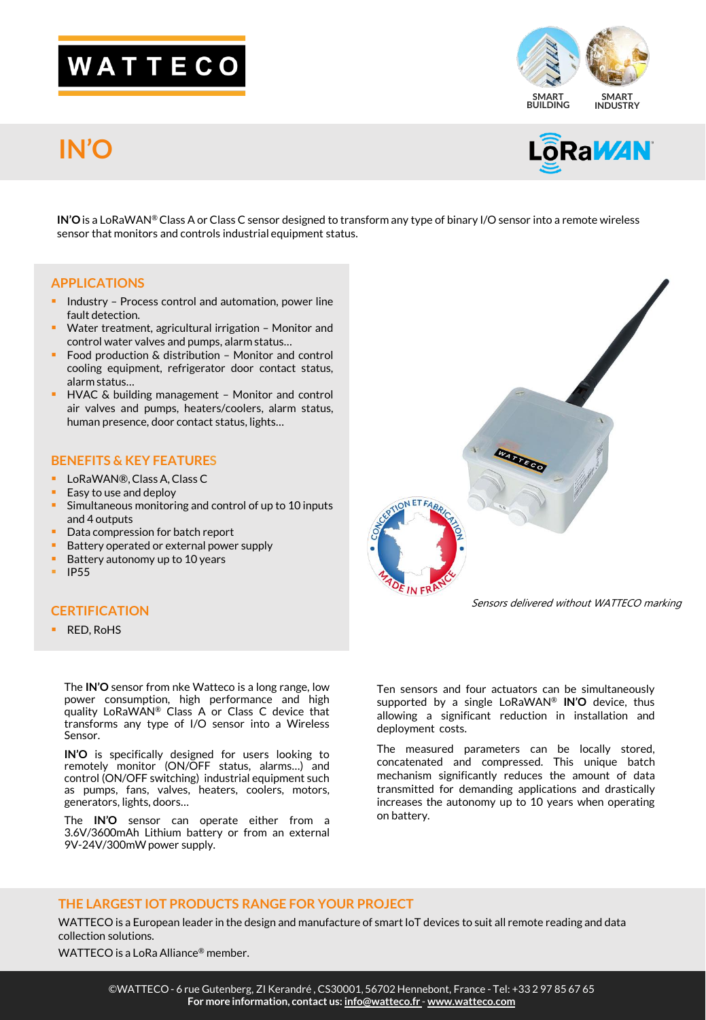# WATTECO

## **IN'O**





**IN'O** is a LoRaWAN® Class A or Class C sensor designed to transform any type of binary I/O sensor into a remote wireless sensor that monitors and controls industrial equipment status.

#### **APPLICATIONS**

- **EXTERGH** Industry Process control and automation, power line fault detection.
- Water treatment, agricultural irrigation Monitor and control water valves and pumps, alarm status…
- Food production & distribution Monitor and control cooling equipment, refrigerator door contact status, alarm status…
- HVAC & building management Monitor and control air valves and pumps, heaters/coolers, alarm status, human presence, door contact status, lights…

#### **BENEFITS & KEY FEATURES**

- LoRaWAN®, Class A, Class C
- Easy to use and deploy
- Simultaneous monitoring and control of up to 10 inputs and 4 outputs
- Data compression for batch report
- Battery operated or external power supply
- Battery autonomy up to 10 years
- IP55

### **CERTIFICATION**

**RED, RoHS** 

The **IN'O** sensor from nke Watteco is a long range, low power consumption, high performance and high quality LoRaWAN® Class A or Class C device that transforms any type of I/O sensor into a Wireless Sensor.

**IN'O** is specifically designed for users looking to remotely monitor (ON/OFF status, alarms…) and control (ON/OFF switching) industrial equipment such as pumps, fans, valves, heaters, coolers, motors, generators, lights, doors…

The **IN'O** sensor can operate either from a 3.6V/3600mAh Lithium battery or from an external 9V-24V/300mW power supply.



Sensors delivered without WATTECO marking

Ten sensors and four actuators can be simultaneously supported by a single LoRaWAN® **IN'O** device, thus allowing a significant reduction in installation and deployment costs.

The measured parameters can be locally stored, concatenated and compressed. This unique batch mechanism significantly reduces the amount of data transmitted for demanding applications and drastically increases the autonomy up to 10 years when operating on battery.

#### **THE LARGEST IOT PRODUCTS RANGE FOR YOUR PROJECT**

WATTECO is a European leader in the design and manufacture of smart IoT devices to suit all remote reading and data collection solutions.

WATTECO is a LoRa Alliance<sup>®</sup> member.